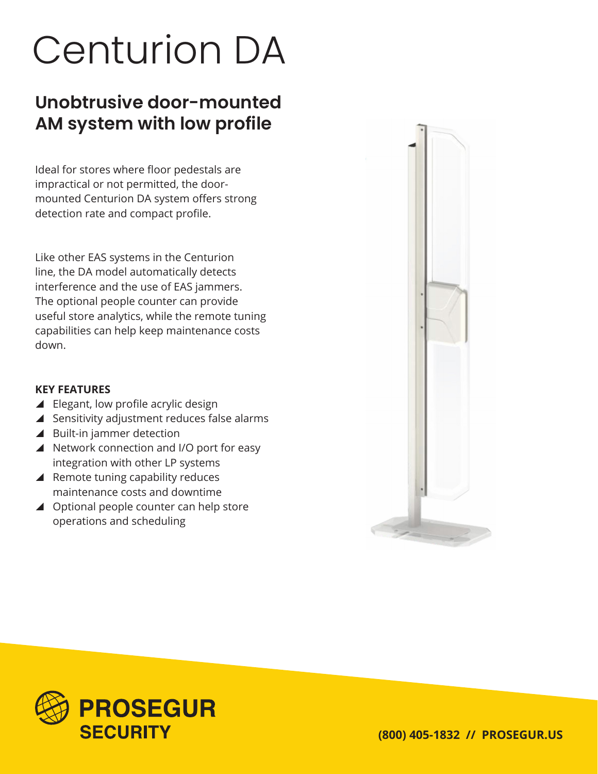# Centurion DA

## **Unobtrusive door-mounted AM system with low profile**

Ideal for stores where floor pedestals are impractical or not permitted, the doormounted Centurion DA system offers strong detection rate and compact profile.

Like other EAS systems in the Centurion line, the DA model automatically detects interference and the use of EAS jammers. The optional people counter can provide useful store analytics, while the remote tuning capabilities can help keep maintenance costs down.

#### **KEY FEATURES**

- $\blacktriangle$  Elegant, low profile acrylic design
- $\blacktriangle$  Sensitivity adjustment reduces false alarms
- $\blacktriangle$  Built-in jammer detection
- ▲ Network connection and I/O port for easy integration with other LP systems
- $\blacktriangle$  Remote tuning capability reduces maintenance costs and downtime
- $\triangle$  Optional people counter can help store operations and scheduling